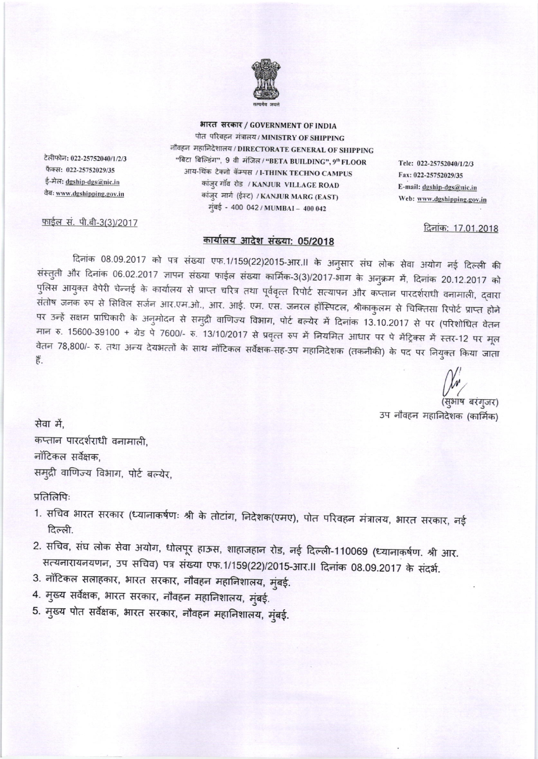

भारत सरकार / GOVERNMENT OF INDIA

पोत परिवहन मंत्रालय / MINISTRY OF SHIPPING नौवहन महानिदेशालय / DIRECTORATE GENERAL OF SHIPPING "बिटा बिल्डिंग", 9 वी मंजिल / "BETA BUILDING", 9" FLOOR आय-थिंक टेक्नो कॅम्पस / I-THINK TECHNO CAMPUS कांज़ुर गाँव रोड / KANJUR VILLAGE ROAD कांजुर मार्ग (ईस्ट) / KANJUR MARG (EAST) मुंबई - 400 042 / MUMBAI - 400 042

Tele: 022-25752040/1/2/3 Fax: 022-25752029/35 E-mail: dgship-dgs@nic.in Web: www.dgshipping.gov.in

दिनांक: 17.01.2018

टेलीफोन: 022-25752040/1/2/3 फैक्स: 022-25752029/35 ई-मेल: <u>dgship-dgs@nic.in</u> तेबः www.dgshipping.gov.in

<u>फाईल सं. पी.बी-3(3)/2017</u>

## कार्यालय आदेश संख्या: 05/2018

दिनांक 08.09.2017 को पत्र संख्या एफ.1/159(22)2015-आर.॥ के अनुसार संघ लोक सेवा अयोग नई दिल्ली की संस्तुती और दिनांक 06.02.2017 ज्ञापन संख्या फाईल संख्या कार्मिक-3(3)/2017-भाग के अनुक्रम में, दिनांक 20.12.2017 को पुलिस आयुक्त वेपेरी चेन्नई के कार्यालय से प्राप्त चरित्र तथा पूर्ववृत्त रिपोर्ट सत्यापन और कप्तान पारदर्शराधी वनामाली, द्वारा संतोष जनक रुप से सिविल सर्जन आर.एम.ओ., आर. आई. एम. एस. जनरल हॉस्पिटल, श्रीकाकुलम से चिक्तिसा रिपोर्ट प्राप्त होने पर उन्हें सक्षम प्राधिकारी के अनुमोदन से समुद्री वाणिज्य विभाग, पोर्ट बल्येर में दिनांक 13.10.2017 से पर (परिशोधित वेतन मान रु. 15600-39100 + ग्रेड पे 7600/- रु. 13/10/2017 से प्रवृत्त रुप में नियमित आधार पर पे मेंट्रिक्स में स्तर-12 पर मूल वेतन 78,800/- रु. तथा अन्य देयभत्तों के साथ नॉटिकल सर्वेक्षक-सह-उप महानिदेशक (तकनीकी) के पद पर नियुक्त किया जाता 芹.

(सुभाष बरंगुजर) उप नौवहन महानिदेशक (कार्मिक)

सेवा में. कप्तान पारदर्शराधी वनामाली, नॉटिकल सर्वेक्षक, समुद्री वाणिज्य विभाग, पोर्ट बल्येर,

प्रतिलिपिः

- 1. सचिव भारत सरकार (ध्यानाकर्षणः श्री के तोटांग, निदेशक(एमए), पोत परिवहन मंत्रालय, भारत सरकार, नई दिल्ली.
- 2. सचिव, संघ लोक सेवा अयोग, धोलपूर हाऊस, शाहाजहान रोड, नई दिल्ली-110069 (ध्यानाकर्षण. श्री आर. सत्यनारायनयणन, उप सचिव) पत्र संख्या एफ.1/159(22)/2015-आर.॥ दिनांक 08.09.2017 के संदर्भ.
- 3. नॉटिकल सलाहकार, भारत सरकार, नौवहन महानिशालय, मुंबई.
- 4. मुख्य सर्वेक्षक, भारत सरकार, नौवहन महानिशालय, मुंबई.
- 5. मुख्य पोत सर्वेक्षक, भारत सरकार, नौवहन महानिशालय, मुंबई.